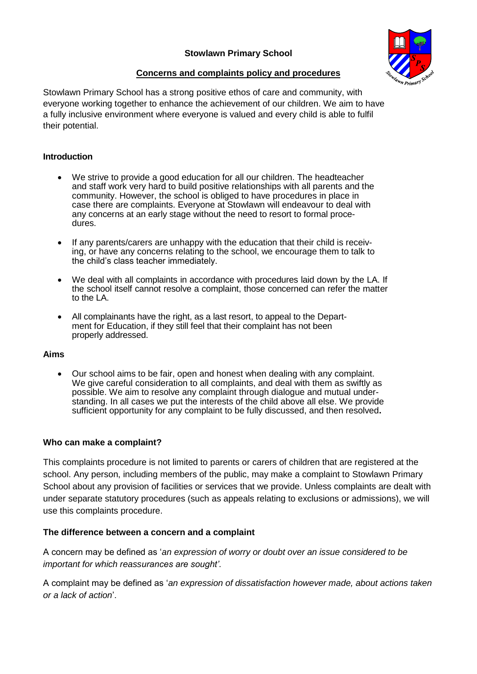

# **Concerns and complaints policy and procedures**

Stowlawn Primary School has a strong positive ethos of care and community, with everyone working together to enhance the achievement of our children. We aim to have a fully inclusive environment where everyone is valued and every child is able to fulfil their potential.

### **Introduction**

- We strive to provide a good education for all our children. The headteacher and staff work very hard to build positive relationships with all parents and the community. However, the school is obliged to have procedures in place in case there are complaints. Everyone at Stowlawn will endeavour to deal with any concerns at an early stage without the need to resort to formal procedures.
- If any parents/carers are unhappy with the education that their child is receiving, or have any concerns relating to the school, we encourage them to talk to the child's class teacher immediately.
- We deal with all complaints in accordance with procedures laid down by the LA. If the school itself cannot resolve a complaint, those concerned can refer the matter to the LA.
- All complainants have the right, as a last resort, to appeal to the Department for Education, if they still feel that their complaint has not been properly addressed.

#### **Aims**

 Our school aims to be fair, open and honest when dealing with any complaint. We give careful consideration to all complaints, and deal with them as swiftly as possible. We aim to resolve any complaint through dialogue and mutual understanding. In all cases we put the interests of the child above all else. We provide sufficient opportunity for any complaint to be fully discussed, and then resolved**.**

#### **Who can make a complaint?**

This complaints procedure is not limited to parents or carers of children that are registered at the school. Any person, including members of the public, may make a complaint to Stowlawn Primary School about any provision of facilities or services that we provide. Unless complaints are dealt with under separate statutory procedures (such as appeals relating to exclusions or admissions), we will use this complaints procedure.

### **The difference between a concern and a complaint**

A concern may be defined as '*an expression of worry or doubt over an issue considered to be important for which reassurances are sought'*.

A complaint may be defined as '*an expression of dissatisfaction however made, about actions taken or a lack of action*'.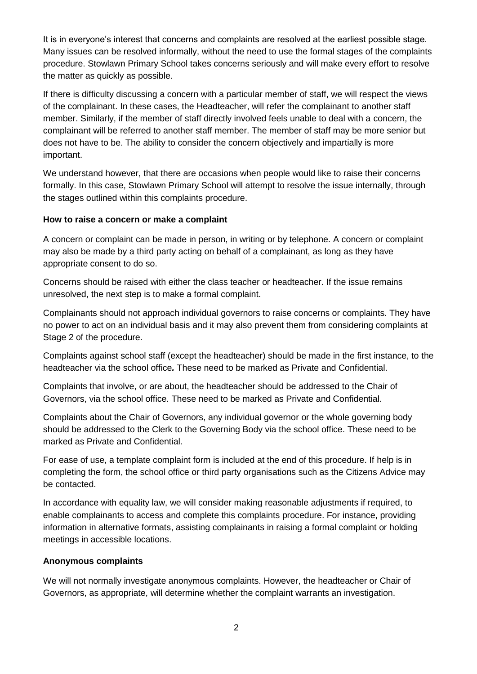It is in everyone's interest that concerns and complaints are resolved at the earliest possible stage. Many issues can be resolved informally, without the need to use the formal stages of the complaints procedure. Stowlawn Primary School takes concerns seriously and will make every effort to resolve the matter as quickly as possible.

If there is difficulty discussing a concern with a particular member of staff, we will respect the views of the complainant. In these cases, the Headteacher, will refer the complainant to another staff member. Similarly, if the member of staff directly involved feels unable to deal with a concern, the complainant will be referred to another staff member. The member of staff may be more senior but does not have to be. The ability to consider the concern objectively and impartially is more important.

We understand however, that there are occasions when people would like to raise their concerns formally. In this case, Stowlawn Primary School will attempt to resolve the issue internally, through the stages outlined within this complaints procedure.

#### **How to raise a concern or make a complaint**

A concern or complaint can be made in person, in writing or by telephone. A concern or complaint may also be made by a third party acting on behalf of a complainant, as long as they have appropriate consent to do so.

Concerns should be raised with either the class teacher or headteacher. If the issue remains unresolved, the next step is to make a formal complaint.

Complainants should not approach individual governors to raise concerns or complaints. They have no power to act on an individual basis and it may also prevent them from considering complaints at Stage 2 of the procedure.

Complaints against school staff (except the headteacher) should be made in the first instance, to the headteacher via the school office*.* These need to be marked as Private and Confidential.

Complaints that involve, or are about, the headteacher should be addressed to the Chair of Governors, via the school office. These need to be marked as Private and Confidential.

Complaints about the Chair of Governors, any individual governor or the whole governing body should be addressed to the Clerk to the Governing Body via the school office. These need to be marked as Private and Confidential.

For ease of use, a template complaint form is included at the end of this procedure. If help is in completing the form, the school office or third party organisations such as the Citizens Advice may be contacted.

In accordance with equality law, we will consider making reasonable adjustments if required, to enable complainants to access and complete this complaints procedure. For instance, providing information in alternative formats, assisting complainants in raising a formal complaint or holding meetings in accessible locations.

#### **Anonymous complaints**

We will not normally investigate anonymous complaints. However, the headteacher or Chair of Governors, as appropriate, will determine whether the complaint warrants an investigation.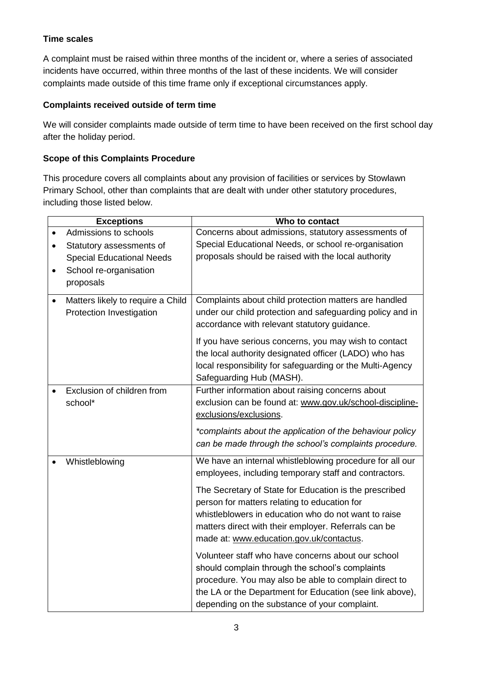# **Time scales**

A complaint must be raised within three months of the incident or, where a series of associated incidents have occurred, within three months of the last of these incidents. We will consider complaints made outside of this time frame only if exceptional circumstances apply.

# **Complaints received outside of term time**

We will consider complaints made outside of term time to have been received on the first school day after the holiday period.

## **Scope of this Complaints Procedure**

This procedure covers all complaints about any provision of facilities or services by Stowlawn Primary School, other than complaints that are dealt with under other statutory procedures, including those listed below.

|           | <b>Exceptions</b>                 | Who to contact                                            |
|-----------|-----------------------------------|-----------------------------------------------------------|
|           | Admissions to schools             | Concerns about admissions, statutory assessments of       |
|           |                                   |                                                           |
| $\bullet$ | Statutory assessments of          | Special Educational Needs, or school re-organisation      |
|           | <b>Special Educational Needs</b>  | proposals should be raised with the local authority       |
| $\bullet$ | School re-organisation            |                                                           |
|           | proposals                         |                                                           |
|           |                                   |                                                           |
| $\bullet$ | Matters likely to require a Child | Complaints about child protection matters are handled     |
|           | Protection Investigation          | under our child protection and safeguarding policy and in |
|           |                                   | accordance with relevant statutory guidance.              |
|           |                                   | If you have serious concerns, you may wish to contact     |
|           |                                   | the local authority designated officer (LADO) who has     |
|           |                                   | local responsibility for safeguarding or the Multi-Agency |
|           |                                   | Safeguarding Hub (MASH).                                  |
|           |                                   |                                                           |
|           | Exclusion of children from        | Further information about raising concerns about          |
|           | school*                           | exclusion can be found at: www.gov.uk/school-discipline-  |
|           |                                   | exclusions/exclusions.                                    |
|           |                                   | *complaints about the application of the behaviour policy |
|           |                                   | can be made through the school's complaints procedure.    |
|           |                                   |                                                           |
|           | Whistleblowing                    | We have an internal whistleblowing procedure for all our  |
|           |                                   | employees, including temporary staff and contractors.     |
|           |                                   | The Secretary of State for Education is the prescribed    |
|           |                                   | person for matters relating to education for              |
|           |                                   | whistleblowers in education who do not want to raise      |
|           |                                   |                                                           |
|           |                                   | matters direct with their employer. Referrals can be      |
|           |                                   | made at: www.education.gov.uk/contactus.                  |
|           |                                   | Volunteer staff who have concerns about our school        |
|           |                                   | should complain through the school's complaints           |
|           |                                   | procedure. You may also be able to complain direct to     |
|           |                                   | the LA or the Department for Education (see link above),  |
|           |                                   |                                                           |
|           |                                   | depending on the substance of your complaint.             |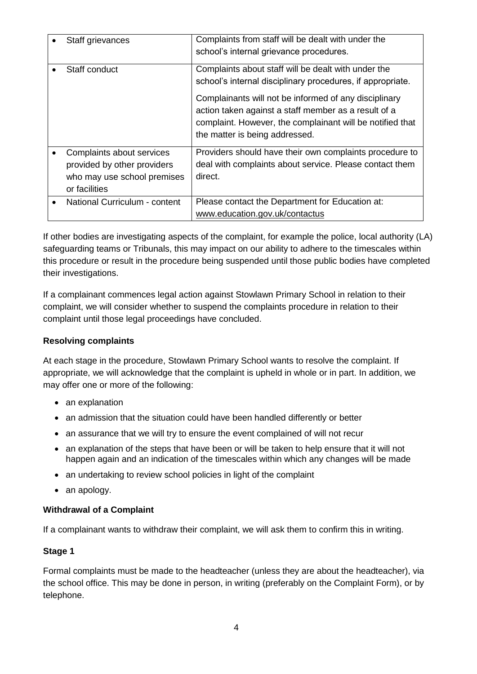| Staff grievances                                                                                         | Complaints from staff will be dealt with under the<br>school's internal grievance procedures.                                                                                                                |
|----------------------------------------------------------------------------------------------------------|--------------------------------------------------------------------------------------------------------------------------------------------------------------------------------------------------------------|
| Staff conduct                                                                                            | Complaints about staff will be dealt with under the<br>school's internal disciplinary procedures, if appropriate.                                                                                            |
|                                                                                                          | Complainants will not be informed of any disciplinary<br>action taken against a staff member as a result of a<br>complaint. However, the complainant will be notified that<br>the matter is being addressed. |
| Complaints about services<br>provided by other providers<br>who may use school premises<br>or facilities | Providers should have their own complaints procedure to<br>deal with complaints about service. Please contact them<br>direct.                                                                                |
| National Curriculum - content                                                                            | Please contact the Department for Education at:<br>www.education.gov.uk/contactus                                                                                                                            |

If other bodies are investigating aspects of the complaint, for example the police, local authority (LA) safeguarding teams or Tribunals, this may impact on our ability to adhere to the timescales within this procedure or result in the procedure being suspended until those public bodies have completed their investigations.

If a complainant commences legal action against Stowlawn Primary School in relation to their complaint, we will consider whether to suspend the complaints procedure in relation to their complaint until those legal proceedings have concluded.

### **Resolving complaints**

At each stage in the procedure, Stowlawn Primary School wants to resolve the complaint. If appropriate, we will acknowledge that the complaint is upheld in whole or in part. In addition, we may offer one or more of the following:

- an explanation
- an admission that the situation could have been handled differently or better
- an assurance that we will try to ensure the event complained of will not recur
- an explanation of the steps that have been or will be taken to help ensure that it will not happen again and an indication of the timescales within which any changes will be made
- an undertaking to review school policies in light of the complaint
- an apology.

### **Withdrawal of a Complaint**

If a complainant wants to withdraw their complaint, we will ask them to confirm this in writing.

# **Stage 1**

Formal complaints must be made to the headteacher (unless they are about the headteacher), via the school office. This may be done in person, in writing (preferably on the Complaint Form), or by telephone.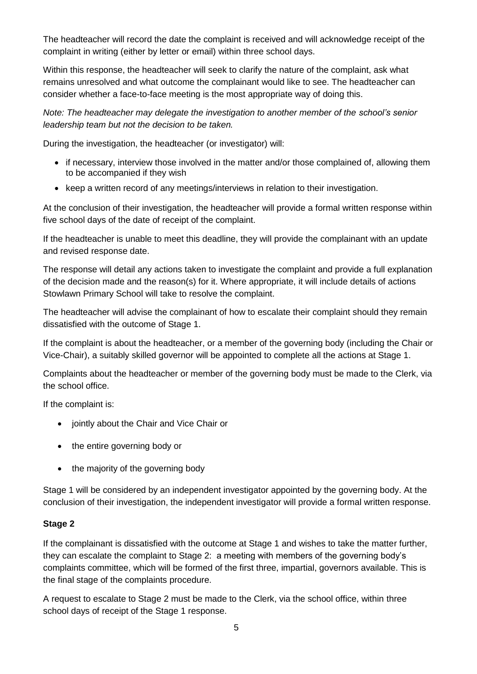The headteacher will record the date the complaint is received and will acknowledge receipt of the complaint in writing (either by letter or email) within three school days.

Within this response, the headteacher will seek to clarify the nature of the complaint, ask what remains unresolved and what outcome the complainant would like to see. The headteacher can consider whether a face-to-face meeting is the most appropriate way of doing this.

*Note: The headteacher may delegate the investigation to another member of the school's senior leadership team but not the decision to be taken.*

During the investigation, the headteacher (or investigator) will:

- if necessary, interview those involved in the matter and/or those complained of, allowing them to be accompanied if they wish
- keep a written record of any meetings/interviews in relation to their investigation.

At the conclusion of their investigation, the headteacher will provide a formal written response within five school days of the date of receipt of the complaint.

If the headteacher is unable to meet this deadline, they will provide the complainant with an update and revised response date.

The response will detail any actions taken to investigate the complaint and provide a full explanation of the decision made and the reason(s) for it. Where appropriate, it will include details of actions Stowlawn Primary School will take to resolve the complaint.

The headteacher will advise the complainant of how to escalate their complaint should they remain dissatisfied with the outcome of Stage 1.

If the complaint is about the headteacher, or a member of the governing body (including the Chair or Vice-Chair), a suitably skilled governor will be appointed to complete all the actions at Stage 1.

Complaints about the headteacher or member of the governing body must be made to the Clerk, via the school office.

If the complaint is:

- jointly about the Chair and Vice Chair or
- the entire governing body or
- the majority of the governing body

Stage 1 will be considered by an independent investigator appointed by the governing body. At the conclusion of their investigation, the independent investigator will provide a formal written response.

#### **Stage 2**

If the complainant is dissatisfied with the outcome at Stage 1 and wishes to take the matter further, they can escalate the complaint to Stage 2: a meeting with members of the governing body's complaints committee, which will be formed of the first three, impartial, governors available. This is the final stage of the complaints procedure.

A request to escalate to Stage 2 must be made to the Clerk, via the school office, within three school days of receipt of the Stage 1 response.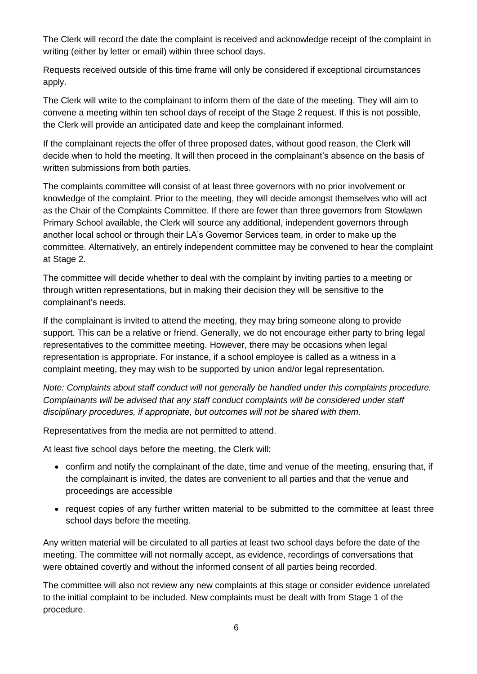The Clerk will record the date the complaint is received and acknowledge receipt of the complaint in writing (either by letter or email) within three school days.

Requests received outside of this time frame will only be considered if exceptional circumstances apply.

The Clerk will write to the complainant to inform them of the date of the meeting. They will aim to convene a meeting within ten school days of receipt of the Stage 2 request. If this is not possible, the Clerk will provide an anticipated date and keep the complainant informed.

If the complainant rejects the offer of three proposed dates, without good reason, the Clerk will decide when to hold the meeting. It will then proceed in the complainant's absence on the basis of written submissions from both parties.

The complaints committee will consist of at least three governors with no prior involvement or knowledge of the complaint. Prior to the meeting, they will decide amongst themselves who will act as the Chair of the Complaints Committee. If there are fewer than three governors from Stowlawn Primary School available, the Clerk will source any additional, independent governors through another local school or through their LA's Governor Services team, in order to make up the committee. Alternatively, an entirely independent committee may be convened to hear the complaint at Stage 2.

The committee will decide whether to deal with the complaint by inviting parties to a meeting or through written representations, but in making their decision they will be sensitive to the complainant's needs.

If the complainant is invited to attend the meeting, they may bring someone along to provide support. This can be a relative or friend. Generally, we do not encourage either party to bring legal representatives to the committee meeting. However, there may be occasions when legal representation is appropriate. For instance, if a school employee is called as a witness in a complaint meeting, they may wish to be supported by union and/or legal representation.

*Note: Complaints about staff conduct will not generally be handled under this complaints procedure. Complainants will be advised that any staff conduct complaints will be considered under staff disciplinary procedures, if appropriate, but outcomes will not be shared with them.* 

Representatives from the media are not permitted to attend.

At least five school days before the meeting, the Clerk will:

- confirm and notify the complainant of the date, time and venue of the meeting, ensuring that, if the complainant is invited, the dates are convenient to all parties and that the venue and proceedings are accessible
- request copies of any further written material to be submitted to the committee at least three school days before the meeting.

Any written material will be circulated to all parties at least two school days before the date of the meeting. The committee will not normally accept, as evidence, recordings of conversations that were obtained covertly and without the informed consent of all parties being recorded.

The committee will also not review any new complaints at this stage or consider evidence unrelated to the initial complaint to be included. New complaints must be dealt with from Stage 1 of the procedure.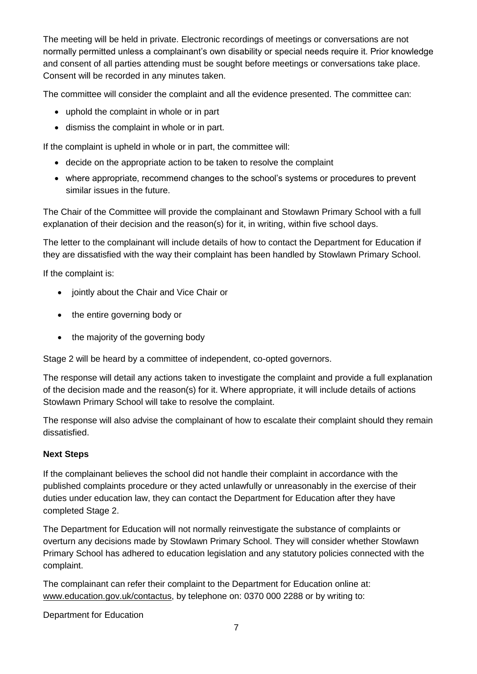The meeting will be held in private. Electronic recordings of meetings or conversations are not normally permitted unless a complainant's own disability or special needs require it. Prior knowledge and consent of all parties attending must be sought before meetings or conversations take place. Consent will be recorded in any minutes taken.

The committee will consider the complaint and all the evidence presented. The committee can:

- uphold the complaint in whole or in part
- dismiss the complaint in whole or in part.

If the complaint is upheld in whole or in part, the committee will:

- decide on the appropriate action to be taken to resolve the complaint
- where appropriate, recommend changes to the school's systems or procedures to prevent similar issues in the future.

The Chair of the Committee will provide the complainant and Stowlawn Primary School with a full explanation of their decision and the reason(s) for it, in writing, within five school days.

The letter to the complainant will include details of how to contact the Department for Education if they are dissatisfied with the way their complaint has been handled by Stowlawn Primary School.

If the complaint is:

- jointly about the Chair and Vice Chair or
- the entire governing body or
- the majority of the governing body

Stage 2 will be heard by a committee of independent, co-opted governors.

The response will detail any actions taken to investigate the complaint and provide a full explanation of the decision made and the reason(s) for it. Where appropriate, it will include details of actions Stowlawn Primary School will take to resolve the complaint.

The response will also advise the complainant of how to escalate their complaint should they remain dissatisfied.

### **Next Steps**

If the complainant believes the school did not handle their complaint in accordance with the published complaints procedure or they acted unlawfully or unreasonably in the exercise of their duties under education law, they can contact the Department for Education after they have completed Stage 2.

The Department for Education will not normally reinvestigate the substance of complaints or overturn any decisions made by Stowlawn Primary School. They will consider whether Stowlawn Primary School has adhered to education legislation and any statutory policies connected with the complaint.

The complainant can refer their complaint to the Department for Education online at: [www.education.gov.uk/contactus,](http://www.education.gov.uk/contactus) by telephone on: 0370 000 2288 or by writing to:

Department for Education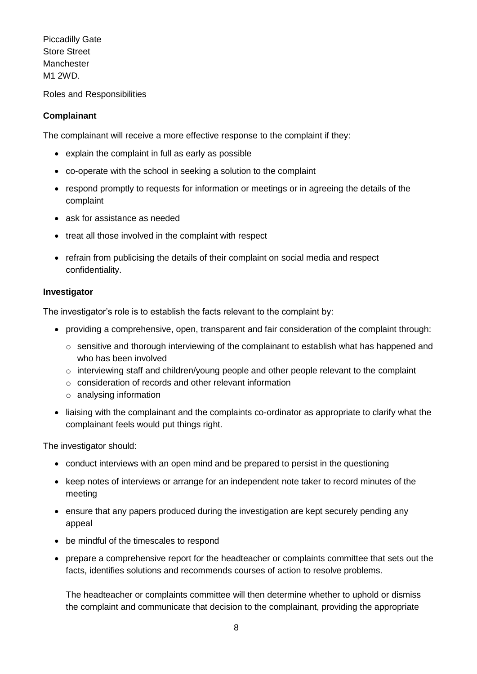Piccadilly Gate Store Street Manchester M1 2WD.

Roles and Responsibilities

### **Complainant**

The complainant will receive a more effective response to the complaint if they:

- explain the complaint in full as early as possible
- co-operate with the school in seeking a solution to the complaint
- respond promptly to requests for information or meetings or in agreeing the details of the complaint
- ask for assistance as needed
- treat all those involved in the complaint with respect
- refrain from publicising the details of their complaint on social media and respect confidentiality.

#### **Investigator**

The investigator's role is to establish the facts relevant to the complaint by:

- providing a comprehensive, open, transparent and fair consideration of the complaint through:
	- $\circ$  sensitive and thorough interviewing of the complainant to establish what has happened and who has been involved
	- o interviewing staff and children/young people and other people relevant to the complaint
	- o consideration of records and other relevant information
	- o analysing information
- liaising with the complainant and the complaints co-ordinator as appropriate to clarify what the complainant feels would put things right.

The investigator should:

- conduct interviews with an open mind and be prepared to persist in the questioning
- keep notes of interviews or arrange for an independent note taker to record minutes of the meeting
- ensure that any papers produced during the investigation are kept securely pending any appeal
- be mindful of the timescales to respond
- prepare a comprehensive report for the headteacher or complaints committee that sets out the facts, identifies solutions and recommends courses of action to resolve problems.

The headteacher or complaints committee will then determine whether to uphold or dismiss the complaint and communicate that decision to the complainant, providing the appropriate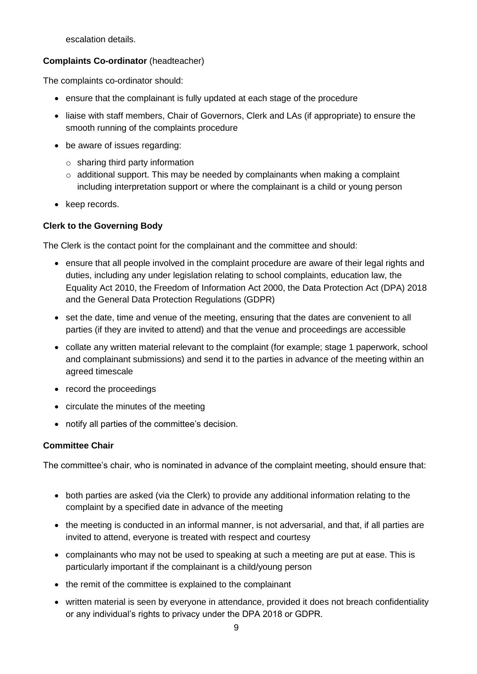escalation details.

## **Complaints Co-ordinator** (headteacher)

The complaints co-ordinator should:

- ensure that the complainant is fully updated at each stage of the procedure
- liaise with staff members, Chair of Governors, Clerk and LAs (if appropriate) to ensure the smooth running of the complaints procedure
- be aware of issues regarding:
	- $\circ$  sharing third party information
	- $\circ$  additional support. This may be needed by complainants when making a complaint including interpretation support or where the complainant is a child or young person
- keep records.

## **Clerk to the Governing Body**

The Clerk is the contact point for the complainant and the committee and should:

- ensure that all people involved in the complaint procedure are aware of their legal rights and duties, including any under legislation relating to school complaints, education law, the Equality Act 2010, the Freedom of Information Act 2000, the Data Protection Act (DPA) 2018 and the General Data Protection Regulations (GDPR)
- set the date, time and venue of the meeting, ensuring that the dates are convenient to all parties (if they are invited to attend) and that the venue and proceedings are accessible
- collate any written material relevant to the complaint (for example; stage 1 paperwork, school and complainant submissions) and send it to the parties in advance of the meeting within an agreed timescale
- record the proceedings
- circulate the minutes of the meeting
- notify all parties of the committee's decision.

# **Committee Chair**

The committee's chair, who is nominated in advance of the complaint meeting, should ensure that:

- both parties are asked (via the Clerk) to provide any additional information relating to the complaint by a specified date in advance of the meeting
- the meeting is conducted in an informal manner, is not adversarial, and that, if all parties are invited to attend, everyone is treated with respect and courtesy
- complainants who may not be used to speaking at such a meeting are put at ease. This is particularly important if the complainant is a child/young person
- the remit of the committee is explained to the complainant
- written material is seen by everyone in attendance, provided it does not breach confidentiality or any individual's rights to privacy under the DPA 2018 or GDPR.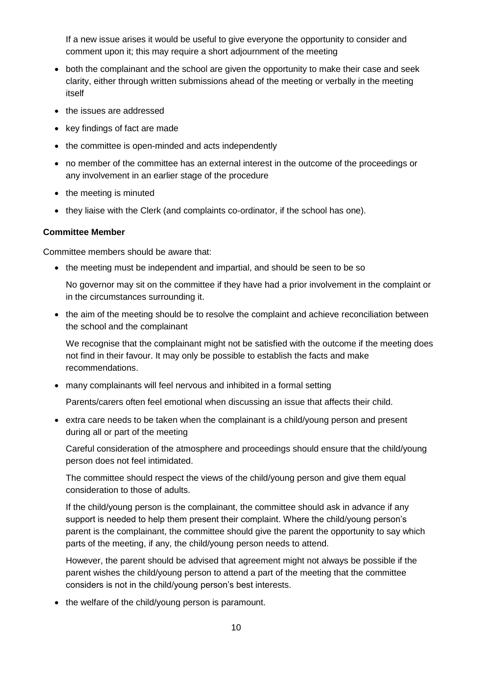If a new issue arises it would be useful to give everyone the opportunity to consider and comment upon it; this may require a short adjournment of the meeting

- both the complainant and the school are given the opportunity to make their case and seek clarity, either through written submissions ahead of the meeting or verbally in the meeting itself
- the issues are addressed
- key findings of fact are made
- the committee is open-minded and acts independently
- no member of the committee has an external interest in the outcome of the proceedings or any involvement in an earlier stage of the procedure
- the meeting is minuted
- they liaise with the Clerk (and complaints co-ordinator, if the school has one).

#### **Committee Member**

Committee members should be aware that:

• the meeting must be independent and impartial, and should be seen to be so

No governor may sit on the committee if they have had a prior involvement in the complaint or in the circumstances surrounding it.

• the aim of the meeting should be to resolve the complaint and achieve reconciliation between the school and the complainant

We recognise that the complainant might not be satisfied with the outcome if the meeting does not find in their favour. It may only be possible to establish the facts and make recommendations.

many complainants will feel nervous and inhibited in a formal setting

Parents/carers often feel emotional when discussing an issue that affects their child.

 extra care needs to be taken when the complainant is a child/young person and present during all or part of the meeting

Careful consideration of the atmosphere and proceedings should ensure that the child/young person does not feel intimidated.

The committee should respect the views of the child/young person and give them equal consideration to those of adults.

If the child/young person is the complainant, the committee should ask in advance if any support is needed to help them present their complaint. Where the child/young person's parent is the complainant, the committee should give the parent the opportunity to say which parts of the meeting, if any, the child/young person needs to attend.

However, the parent should be advised that agreement might not always be possible if the parent wishes the child/young person to attend a part of the meeting that the committee considers is not in the child/young person's best interests.

• the welfare of the child/young person is paramount.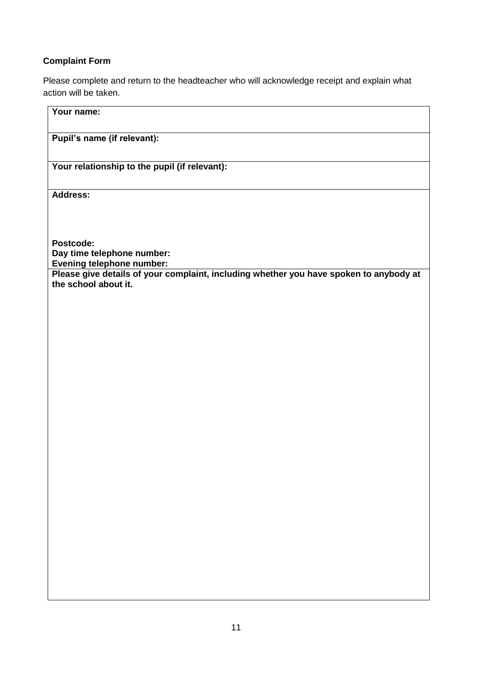# **Complaint Form**

Please complete and return to the headteacher who will acknowledge receipt and explain what action will be taken.

| Your name:                                                                                                     |
|----------------------------------------------------------------------------------------------------------------|
| Pupil's name (if relevant):                                                                                    |
| Your relationship to the pupil (if relevant):                                                                  |
| Address:                                                                                                       |
|                                                                                                                |
| Postcode:<br>Day time telephone number:<br>Evening telephone number:                                           |
| Please give details of your complaint, including whether you have spoken to anybody at<br>the school about it. |
|                                                                                                                |
|                                                                                                                |
|                                                                                                                |
|                                                                                                                |
|                                                                                                                |
|                                                                                                                |
|                                                                                                                |
|                                                                                                                |
|                                                                                                                |
|                                                                                                                |
|                                                                                                                |